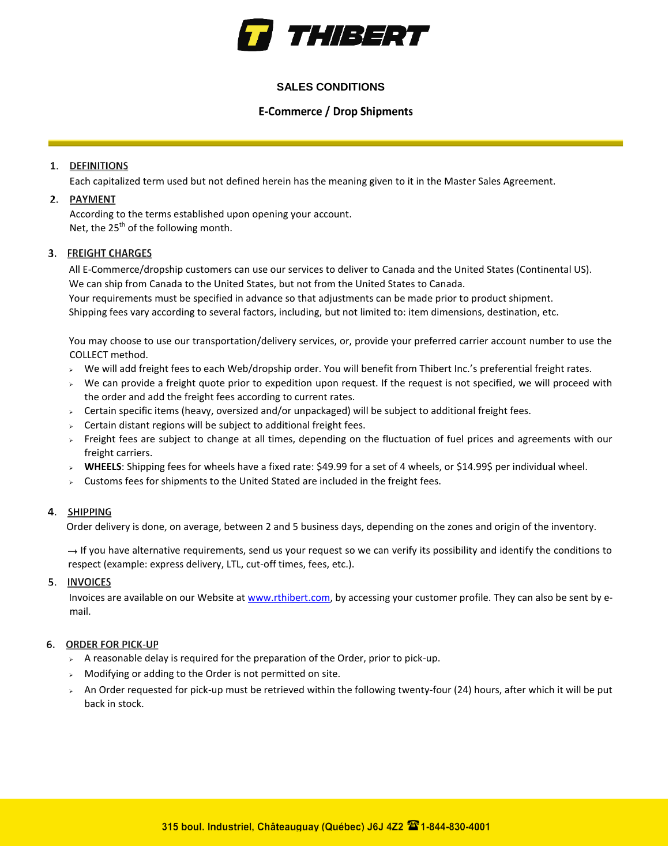

# **SALES CONDITIONS**

# **E-Commerce / Drop Shipments**

# 1. DEFINITIONS

Each capitalized term used but not defined herein has the meaning given to it in the Master Sales Agreement.

# 2. PAYMENT

According to the terms established upon opening your account. Net, the 25<sup>th</sup> of the following month.

# 3. FREIGHT CHARGES

All E-Commerce/dropship customers can use our services to deliver to Canada and the United States (Continental US). We can ship from Canada to the United States, but not from the United States to Canada. Your requirements must be specified in advance so that adjustments can be made prior to product shipment.

Shipping fees vary according to several factors, including, but not limited to: item dimensions, destination, etc.

You may choose to use our transportation/delivery services, or, provide your preferred carrier account number to use the COLLECT method.

- $\triangleright$  We will add freight fees to each Web/dropship order. You will benefit from Thibert Inc.'s preferential freight rates.
- $\rightarrow$  We can provide a freight quote prior to expedition upon request. If the request is not specified, we will proceed with the order and add the freight fees according to current rates.
- $\rightarrow$  Certain specific items (heavy, oversized and/or unpackaged) will be subject to additional freight fees.
- $\geq$  Certain distant regions will be subject to additional freight fees.
- $\rightarrow$  Freight fees are subject to change at all times, depending on the fluctuation of fuel prices and agreements with our freight carriers.
- **WHEELS**: Shipping fees for wheels have a fixed rate: \$49.99 for a set of 4 wheels, or \$14.99\$ per individual wheel.
- $\triangleright$  Customs fees for shipments to the United Stated are included in the freight fees.

# 4. SHIPPING

Order delivery is done, on average, between 2 and 5 business days, depending on the zones and origin of the inventory.

 $\rightarrow$  If you have alternative requirements, send us your request so we can verify its possibility and identify the conditions to respect (example: express delivery, LTL, cut-off times, fees, etc.).

#### 5. INVOICES

Invoices are available on our Website at [www.rthibert.com,](http://www.rthibert.com/) by accessing your customer profile. They can also be sent by email.

#### **6. ORDER FOR PICK-UP**

- $\triangleright$  A reasonable delay is required for the preparation of the Order, prior to pick-up.
- $\triangleright$  Modifying or adding to the Order is not permitted on site.
- > An Order requested for pick-up must be retrieved within the following twenty-four (24) hours, after which it will be put back in stock.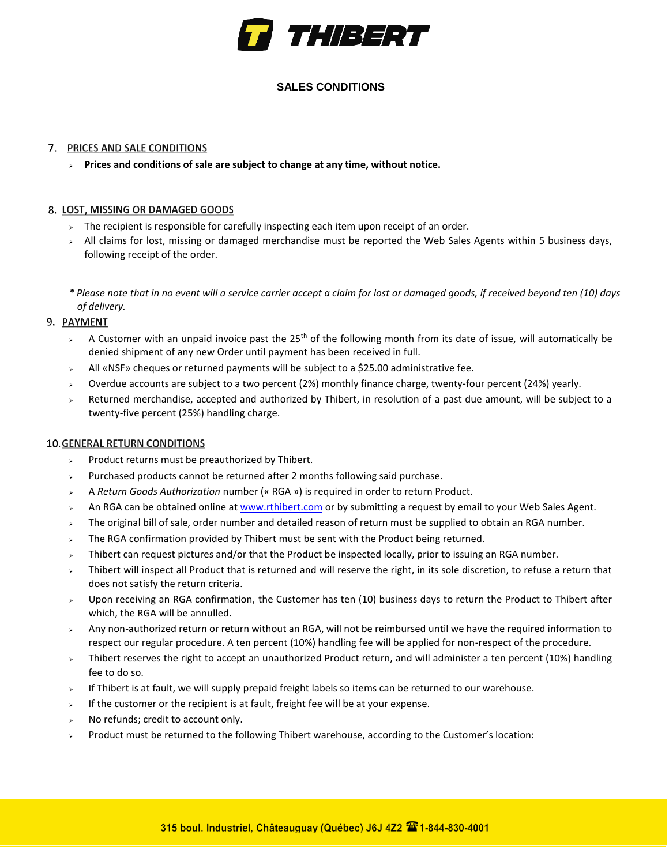

# **SALES CONDITIONS**

### 7. PRICES AND SALE CONDITIONS

**Prices and conditions of sale are subject to change at any time, without notice.**

# 8. LOST, MISSING OR DAMAGED GOODS

- $>$  The recipient is responsible for carefully inspecting each item upon receipt of an order.
- $>$  All claims for lost, missing or damaged merchandise must be reported the Web Sales Agents within 5 business days, following receipt of the order.
- *\* Please note that in no event will a service carrier accept a claim for lost or damaged goods, if received beyond ten (10) days of delivery.*

# 9. PAYMENT

- A Customer with an unpaid invoice past the 25<sup>th</sup> of the following month from its date of issue, will automatically be denied shipment of any new Order until payment has been received in full.
- All «NSF» cheques or returned payments will be subject to a \$25.00 administrative fee.
- Overdue accounts are subject to a two percent (2%) monthly finance charge, twenty-four percent (24%) yearly.
- Returned merchandise, accepted and authorized by Thibert, in resolution of a past due amount, will be subject to a twenty-five percent (25%) handling charge.

#### **10. GENERAL RETURN CONDITIONS**

- Product returns must be preauthorized by Thibert.
- Purchased products cannot be returned after 2 months following said purchase.
- A *Return Goods Authorization* number (« RGA ») is required in order to return Product.
- An RGA can be obtained online [at www.rthibert.com](http://www.rthibert.com/) [or](http://www.rthibert.com/) by submitting a request by email to your Web Sales Agent.
- $>$  The original bill of sale, order number and detailed reason of return must be supplied to obtain an RGA number.
- The RGA confirmation provided by Thibert must be sent with the Product being returned.
- $\rightarrow$  Thibert can request pictures and/or that the Product be inspected locally, prior to issuing an RGA number.
- Thibert will inspect all Product that is returned and will reserve the right, in its sole discretion, to refuse a return that does not satisfy the return criteria.
- $\rightarrow$  Upon receiving an RGA confirmation, the Customer has ten (10) business days to return the Product to Thibert after which, the RGA will be annulled.
- $\rightarrow$  Any non-authorized return or return without an RGA, will not be reimbursed until we have the required information to respect our regular procedure. A ten percent (10%) handling fee will be applied for non-respect of the procedure.
- $>$  Thibert reserves the right to accept an unauthorized Product return, and will administer a ten percent (10%) handling fee to do so.
- If Thibert is at fault, we will supply prepaid freight labels so items can be returned to our warehouse.
- $\frac{1}{2}$  If the customer or the recipient is at fault, freight fee will be at your expense.
- No refunds; credit to account only.
- Product must be returned to the following Thibert warehouse, according to the Customer's location: